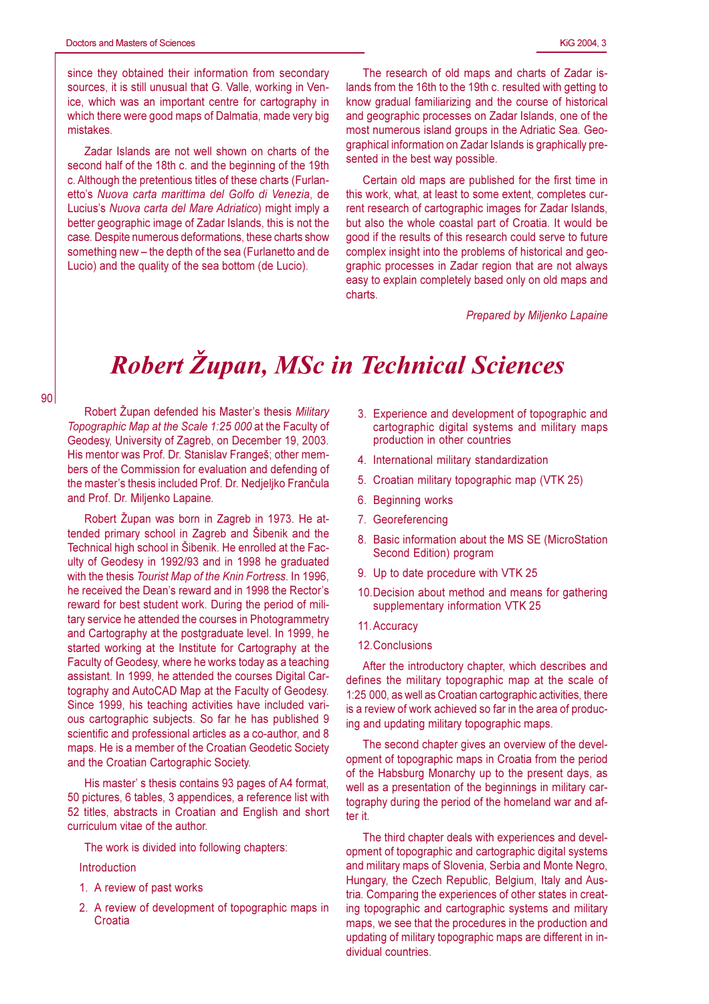since they obtained their information from secondary sources, it is still unusual that G. Valle, working in Venice, which was an important centre for cartography in which there were good maps of Dalmatia, made very big mistakes.

Zadar Islands are not well shown on charts of the second half of the 18th c. and the beginning of the 19th c. Although the pretentious titles of these charts (Furlanetto's Nuova carta marittima del Golfo di Venezia, de Lucius's Nuova carta del Mare Adriatico) might imply a better geographic image of Zadar Islands, this is not the case. Despite numerous deformations, these charts show something new - the depth of the sea (Furlanetto and de Lucio) and the quality of the sea bottom (de Lucio).

The research of old maps and charts of Zadar islands from the 16th to the 19th c. resulted with getting to know gradual familiarizing and the course of historical and geographic processes on Zadar Islands, one of the most numerous island groups in the Adriatic Sea. Geographical information on Zadar Islands is graphically presented in the best way possible.

Certain old maps are published for the first time in this work, what, at least to some extent, completes current research of cartographic images for Zadar Islands, but also the whole coastal part of Croatia. It would be good if the results of this research could serve to future complex insight into the problems of historical and geographic processes in Zadar region that are not always easy to explain completely based only on old maps and charts

Prepared by Miljenko Lapaine

## **Robert Zupan, MSc in Technical Sciences**

Robert Župan defended his Master's thesis Military Topographic Map at the Scale 1:25 000 at the Faculty of Geodesy, University of Zagreb, on December 19, 2003. His mentor was Prof. Dr. Stanislay Franges: other members of the Commission for evaluation and defending of the master's thesis included Prof. Dr. Nedjeljko Frančula and Prof. Dr. Miljenko Lapaine.

Robert Župan was born in Zagreb in 1973. He attended primary school in Zagreb and Šibenik and the Technical high school in Šibenik. He enrolled at the Faculty of Geodesy in 1992/93 and in 1998 he graduated with the thesis Tourist Map of the Knin Fortress. In 1996, he received the Dean's reward and in 1998 the Rector's reward for best student work. During the period of military service he attended the courses in Photogrammetry and Cartography at the postgraduate level. In 1999, he started working at the Institute for Cartography at the Faculty of Geodesy, where he works today as a teaching assistant. In 1999, he attended the courses Digital Cartography and AutoCAD Map at the Faculty of Geodesy. Since 1999, his teaching activities have included various cartographic subjects. So far he has published 9 scientific and professional articles as a co-author, and 8 maps. He is a member of the Croatian Geodetic Society and the Croatian Cartographic Society.

His master's thesis contains 93 pages of A4 format. 50 pictures, 6 tables, 3 appendices, a reference list with 52 titles, abstracts in Croatian and English and short curriculum vitae of the author.

The work is divided into following chapters:

## Introduction

- 1. A review of past works
- 2. A review of development of topographic maps in Croatia
- 3. Experience and development of topographic and cartographic digital systems and military maps production in other countries
- 4. International military standardization
- 5. Croatian military topographic map (VTK 25)
- 6. Beginning works
- 7. Georeferencing
- 8. Basic information about the MS SE (MicroStation Second Edition) program
- 9. Up to date procedure with VTK 25
- 10. Decision about method and means for gathering supplementary information VTK 25
- 11. Accuracy
- 12. Conclusions

After the introductory chapter, which describes and defines the military topographic map at the scale of 1:25 000, as well as Croatian cartographic activities, there is a review of work achieved so far in the area of producing and updating military topographic maps.

The second chapter gives an overview of the development of topographic maps in Croatia from the period of the Habsburg Monarchy up to the present days, as well as a presentation of the beginnings in military cartography during the period of the homeland war and after it.

The third chapter deals with experiences and development of topographic and cartographic digital systems and military maps of Slovenia, Serbia and Monte Negro, Hungary, the Czech Republic, Belgium, Italy and Austria. Comparing the experiences of other states in creating topographic and cartographic systems and military maps, we see that the procedures in the production and updating of military topographic maps are different in individual countries.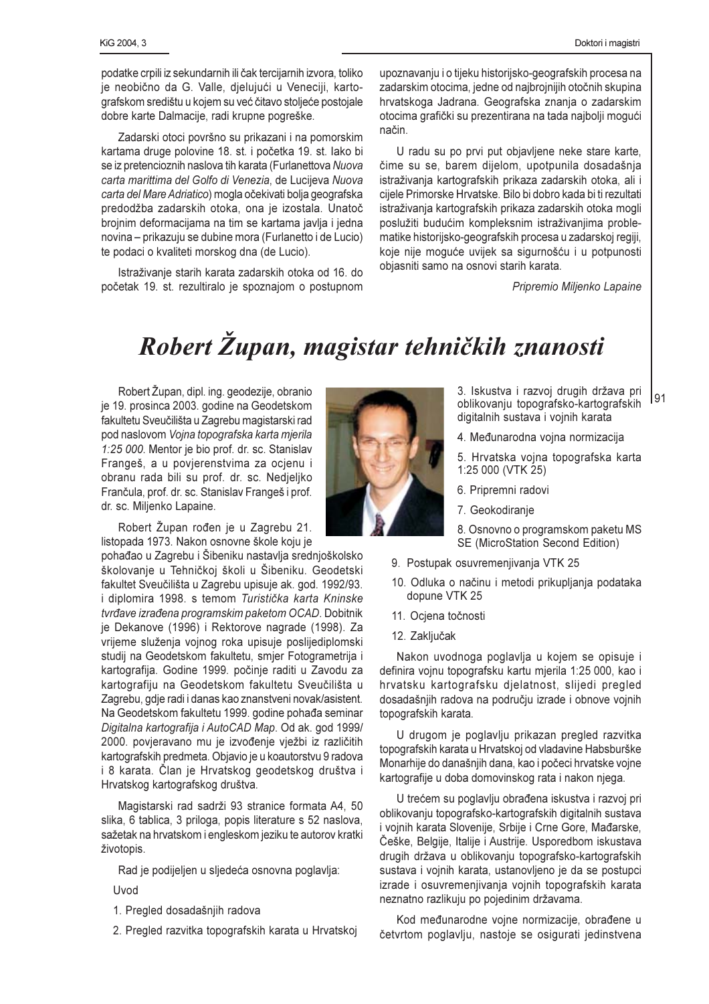Doktori i magistri

podatke crpili iz sekundarnih ili čak tercijarnih izvora, toliko je neobično da G. Valle, dielujući u Veneciji, kartografskom središtu u kojem su već čitavo stoljeće postojale dobre karte Dalmacije, radi krupne pogreške.

Zadarski otoci površno su prikazani i na pomorskim kartama druge polovine 18. st. i početka 19. st. lako bi se iz pretencioznih naslova tih karata (Furlanettova Nuova carta marittima del Golfo di Venezia, de Lucijeva Nuova carta del Mare Adriatico) mogla očekivati bolja geografska predodžba zadarskih otoka, ona je izostala. Unatoč brojnim deformacijama na tim se kartama javlja i jedna novina – prikazuju se dubine mora (Furlanetto i de Lucio) te podaci o kvaliteti morskog dna (de Lucio).

Istraživanje starih karata zadarskih otoka od 16. do početak 19. st. rezultiralo je spoznajom o postupnom

upoznavanju i o tijeku historijsko-geografskih procesa na zadarskim otocima, jedne od najbrojnijih otočnih skupina hrvatskoga Jadrana. Geografska znania o zadarskim otocima grafički su prezentirana na tada najbolji mogući način.

U radu su po prvi put objavljene neke stare karte. čime su se, barem dijelom, upotpunila dosadašnja istraživanja kartografskih prikaza zadarskih otoka, ali i cijele Primorske Hrvatske. Bilo bi dobro kada bi ti rezultati istraživanja kartografskih prikaza zadarskih otoka mogli poslužiti budućim kompleksnim istraživanjima problematike historijsko-geografskih procesa u zadarskoj regiji. koje nije moguće uvijek sa sigurnošću i u potpunosti objasniti samo na osnovi starih karata.

Pripremio Miljenko Lapaine

## Robert Župan, magistar tehničkih znanosti

Robert Župan, dipl. ing. geodezije, obranio je 19. prosinca 2003. godine na Geodetskom fakultetu Sveučilišta u Zagrebu magistarski rad pod naslovom Vojna topografska karta mjerila 1:25 000. Mentor je bio prof. dr. sc. Stanislav Frangeš, a u povjerenstvima za ocjenu i obranu rada bili su prof. dr. sc. Nedjeljko Frančula, prof. dr. sc. Stanislav Frangeš i prof. dr. sc. Miljenko Lapaine.

Robert Župan rođen je u Zagrebu 21. listopada 1973. Nakon osnovne škole koju je

pohađao u Zagrebu i Šibeniku nastavlja srednioškolsko školovanje u Tehničkoj školi u Šibeniku. Geodetski fakultet Sveučilišta u Zagrebu upisuje ak. god. 1992/93. i diplomira 1998, s temom Turistička karta Kninske tvrđave izrađena programskim paketom OCAD. Dobitnik je Dekanove (1996) i Rektorove nagrade (1998). Za vrijeme služenja vojnog roka upisuje poslijediplomski studij na Geodetskom fakultetu, smjer Fotogrametrija i kartografija. Godine 1999. počinje raditi u Zavodu za kartografiju na Geodetskom fakultetu Sveučilišta u Zagrebu, gdje radi i danas kao znanstveni novak/asistent. Na Geodetskom fakultetu 1999. godine pohađa seminar Digitalna kartografija i AutoCAD Map. Od ak. god 1999/ 2000. povjeravano mu je izvođenje vježbi iz različitih kartografskih predmeta. Objavio je u koautorstvu 9 radova i 8 karata. Član je Hrvatskog geodetskog društva i Hrvatskog kartografskog društva.

Magistarski rad sadrži 93 stranice formata A4, 50 slika, 6 tablica, 3 priloga, popis literature s 52 naslova, sažetak na hrvatskom i engleskom jeziku te autorov kratki životopis.

Rad je podijeljen u sljedeća osnovna poglavlja:

Uvod

- 1. Pregled dosadašnjih radova
- 2. Pregled razvitka topografskih karata u Hrvatskoj



3. Iskustva i razvoj drugih država pri 191 oblikovanju topografsko-kartografskih digitalnih sustava i vojnih karata

- 4. Međunarodna vojna normizacija
- 5. Hrvatska vojna topografska karta 1:25 000 (VTK 25)
- 6. Pripremni radovi
- 7. Geokodiranje
- 8. Osnovno o programskom paketu MS SE (MicroStation Second Edition)
- 9. Postupak osuvremenjivanja VTK 25
- 10. Odluka o načinu i metodi prikupljanja podataka dopune VTK 25
- 11. Ocjena točnosti
- 12. Zaključak

Nakon uvodnoga poglavlja u kojem se opisuje i definira vojnu topografsku kartu mjerila 1:25 000, kao i hrvatsku kartografsku djelatnost, slijedi pregled dosadašnjih radova na području izrade i obnove vojnih topografskih karata.

U drugom je poglavlju prikazan pregled razvitka topografskih karata u Hrvatskoj od vladavine Habsburške Monarhije do današnjih dana, kao i počeci hrvatske vojne kartografije u doba domovinskog rata i nakon njega.

U trećem su poglavlju obrađena iskustva i razvoj pri oblikovanju topografsko-kartografskih digitalnih sustava i vojnih karata Slovenije, Srbije i Crne Gore, Mađarske, Češke, Belgije, Italije i Austrije. Usporedbom iskustava drugih država u oblikovaniu topografsko-kartografskih sustava i voinih karata, ustanovlieno je da se postupci izrade i osuvremenjivanja vojnih topografskih karata neznatno razlikuju po pojedinim državama.

Kod međunarodne vojne normizacije, obrađene u četvrtom poglavlju, nastoje se osigurati jedinstvena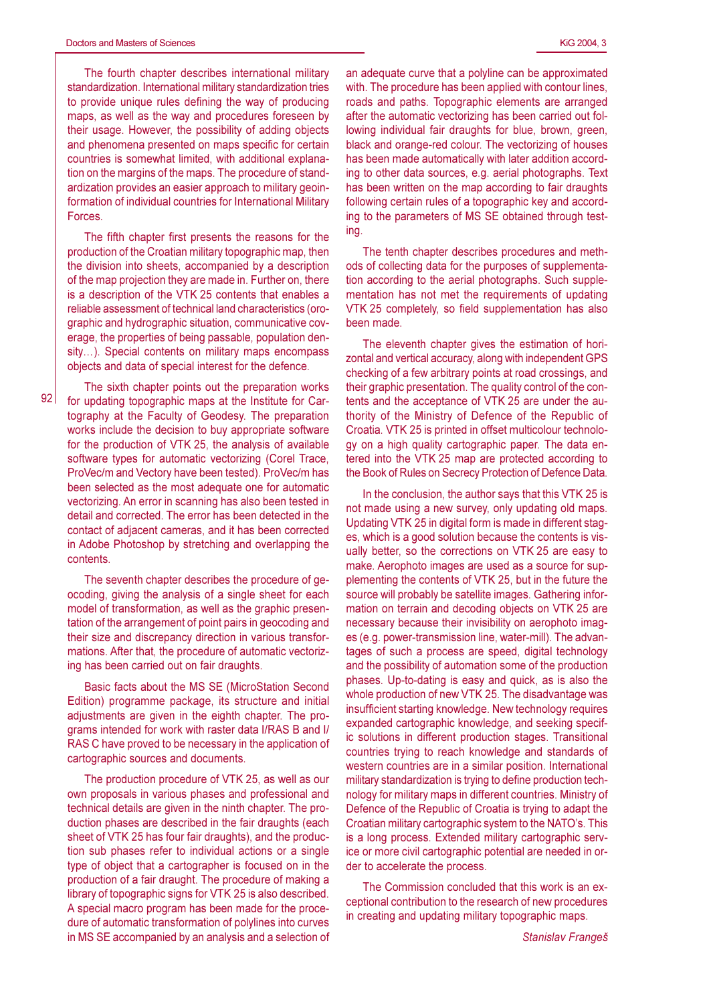The fourth chapter describes international military standardization. International military standardization tries to provide unique rules defining the way of producing maps, as well as the way and procedures foreseen by their usage. However, the possibility of adding objects and phenomena presented on maps specific for certain countries is somewhat limited, with additional explanation on the margins of the maps. The procedure of standardization provides an easier approach to military geoinformation of individual countries for International Military Forces.

The fifth chapter first presents the reasons for the production of the Croatian military topographic map, then the division into sheets, accompanied by a description of the map projection they are made in. Further on, there is a description of the VTK 25 contents that enables a reliable assessment of technical land characteristics (orographic and hydrographic situation, communicative coverage, the properties of being passable, population density...). Special contents on military maps encompass objects and data of special interest for the defence.

 $92<sub>1</sub>$ 

The sixth chapter points out the preparation works for updating topographic maps at the Institute for Cartography at the Faculty of Geodesy. The preparation works include the decision to buy appropriate software for the production of VTK 25, the analysis of available software types for automatic vectorizing (Corel Trace, ProVec/m and Vectory have been tested). ProVec/m has been selected as the most adequate one for automatic vectorizing. An error in scanning has also been tested in detail and corrected. The error has been detected in the contact of adjacent cameras, and it has been corrected in Adobe Photoshop by stretching and overlapping the contents.

The seventh chapter describes the procedure of geocoding, giving the analysis of a single sheet for each model of transformation, as well as the graphic presentation of the arrangement of point pairs in geocoding and their size and discrepancy direction in various transformations. After that, the procedure of automatic vectorizing has been carried out on fair draughts.

Basic facts about the MS SE (MicroStation Second Edition) programme package, its structure and initial adjustments are given in the eighth chapter. The programs intended for work with raster data I/RAS B and I/ RAS C have proved to be necessary in the application of cartographic sources and documents.

The production procedure of VTK 25, as well as our own proposals in various phases and professional and technical details are given in the ninth chapter. The production phases are described in the fair draughts (each sheet of VTK 25 has four fair draughts), and the production sub phases refer to individual actions or a single type of object that a cartographer is focused on in the production of a fair draught. The procedure of making a library of topographic signs for VTK 25 is also described. A special macro program has been made for the procedure of automatic transformation of polylines into curves in MS SE accompanied by an analysis and a selection of an adequate curve that a polyline can be approximated with. The procedure has been applied with contour lines. roads and paths. Topographic elements are arranged after the automatic vectorizing has been carried out following individual fair draughts for blue, brown, green. black and orange-red colour. The vectorizing of houses has been made automatically with later addition according to other data sources, e.g. aerial photographs. Text has been written on the map according to fair draughts following certain rules of a topographic key and according to the parameters of MS SE obtained through testina.

The tenth chapter describes procedures and methods of collecting data for the purposes of supplementation according to the aerial photographs. Such supplementation has not met the requirements of updating VTK 25 completely, so field supplementation has also been made.

The eleventh chapter gives the estimation of horizontal and vertical accuracy, along with independent GPS checking of a few arbitrary points at road crossings, and their graphic presentation. The quality control of the contents and the acceptance of VTK 25 are under the authority of the Ministry of Defence of the Republic of Croatia. VTK 25 is printed in offset multicolour technology on a high quality cartographic paper. The data entered into the VTK 25 map are protected according to the Book of Rules on Secrecy Protection of Defence Data.

In the conclusion, the author says that this VTK 25 is not made using a new survey, only updating old maps. Updating VTK 25 in digital form is made in different stages, which is a good solution because the contents is visually better, so the corrections on VTK 25 are easy to make. Aerophoto images are used as a source for supplementing the contents of VTK 25, but in the future the source will probably be satellite images. Gathering information on terrain and decoding objects on VTK 25 are necessary because their invisibility on aerophoto images (e.g. power-transmission line, water-mill). The advantages of such a process are speed, digital technology and the possibility of automation some of the production phases. Up-to-dating is easy and quick, as is also the whole production of new VTK 25. The disadvantage was insufficient starting knowledge. New technology requires expanded cartographic knowledge, and seeking specific solutions in different production stages. Transitional countries trying to reach knowledge and standards of western countries are in a similar position. International military standardization is trying to define production technology for military maps in different countries. Ministry of Defence of the Republic of Croatia is trying to adapt the Croatian military cartographic system to the NATO's. This is a long process. Extended military cartographic service or more civil cartographic potential are needed in order to accelerate the process.

The Commission concluded that this work is an exceptional contribution to the research of new procedures in creating and updating military topographic maps.